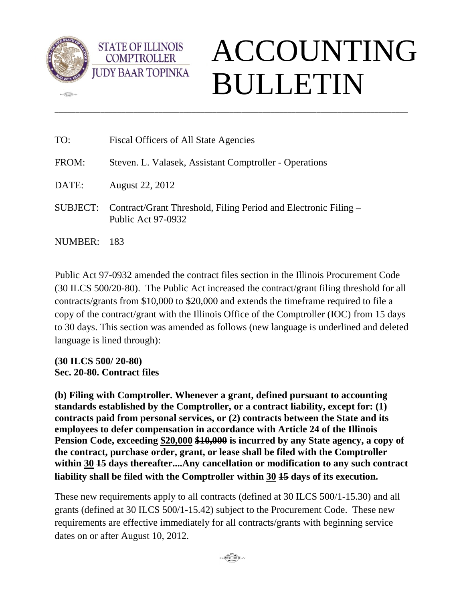

 $m$ 

**STATE OF ILLINOIS COMPTROLLER** 

## ACCOUNTING BULLETIN

| TO:     | Fiscal Officers of All State Agencies                                                          |
|---------|------------------------------------------------------------------------------------------------|
| FROM:   | Steven. L. Valasek, Assistant Comptroller - Operations                                         |
| DATE:   | August 22, 2012                                                                                |
|         | SUBJECT: Contract/Grant Threshold, Filing Period and Electronic Filing –<br>Public Act 97-0932 |
| NUMBER: | -183                                                                                           |

\_\_\_\_\_\_\_\_\_\_\_\_\_\_\_\_\_\_\_\_\_\_\_\_\_\_\_\_\_\_\_\_\_\_\_\_\_\_\_\_\_\_\_\_\_\_\_\_\_\_\_\_\_\_\_\_\_\_\_\_\_\_\_\_\_\_\_\_\_\_\_\_\_\_\_\_\_\_\_\_\_\_\_\_\_

Public Act 97-0932 amended the contract files section in the Illinois Procurement Code (30 ILCS 500/20-80). The Public Act increased the contract/grant filing threshold for all contracts/grants from \$10,000 to \$20,000 and extends the timeframe required to file a copy of the contract/grant with the Illinois Office of the Comptroller (IOC) from 15 days to 30 days. This section was amended as follows (new language is underlined and deleted language is lined through):

**(30 ILCS 500/ 20-80) Sec. 20-80. Contract files**

**(b) Filing with Comptroller. Whenever a grant, defined pursuant to accounting standards established by the Comptroller, or a contract liability, except for: (1) contracts paid from personal services, or (2) contracts between the State and its employees to defer compensation in accordance with Article 24 of the Illinois Pension Code, exceeding \$20,000 \$10,000 is incurred by any State agency, a copy of the contract, purchase order, grant, or lease shall be filed with the Comptroller within 30 15 days thereafter....Any cancellation or modification to any such contract liability shall be filed with the Comptroller within 30 15 days of its execution.** 

These new requirements apply to all contracts (defined at 30 ILCS 500/1-15.30) and all grants (defined at 30 ILCS 500/1-15.42) subject to the Procurement Code. These new requirements are effective immediately for all contracts/grants with beginning service dates on or after August 10, 2012.